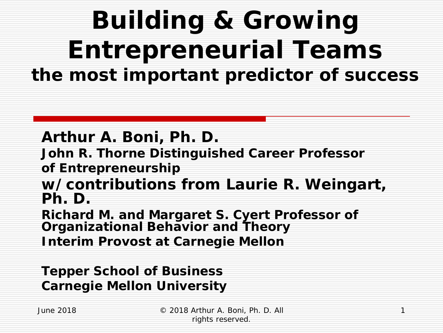### *Building & Growing Entrepreneurial Teams the most important predictor of success*

**Arthur A. Boni, Ph. D.**

**John R. Thorne Distinguished Career Professor**

**of Entrepreneurship**

**w/contributions from Laurie R. Weingart, Ph. D.** 

**Richard M. and Margaret S. Cyert Professor of Organizational Behavior and Theory Interim Provost at Carnegie Mellon** 

**Tepper School of Business Carnegie Mellon University**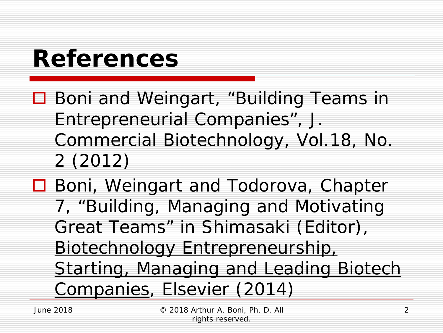### *References*

- **□** Boni and Weingart, "Building Teams in Entrepreneurial Companies", J. Commercial Biotechnology, Vol.18, No. 2 (2012)
- **□** Boni, Weingart and Todorova, Chapter 7, "Building, Managing and Motivating Great Teams" in Shimasaki (Editor), Biotechnology Entrepreneurship, Starting, Managing and Leading Biotech Companies, Elsevier (2014)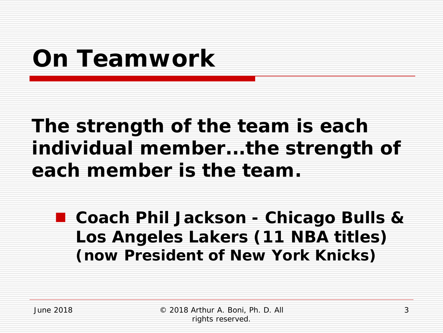### *On Teamwork*

#### **The strength of the team is each individual member...the strength of each member is the team.**

 **Coach Phil Jackson - Chicago Bulls & Los Angeles Lakers (11 NBA titles) (now President of New York Knicks)**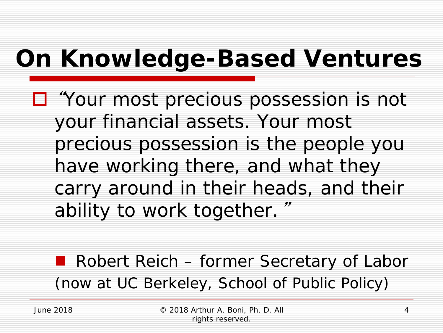### *On Knowledge-Based Ventures*

 "*Your most precious possession is not your financial assets. Your most precious possession is the people you have working there, and what they carry around in their heads, and their ability to work together.*"

**Robert Reich – former Secretary of Labor** (now at UC Berkeley, School of Public Policy)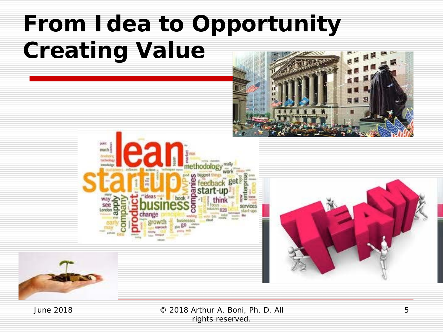### *From Idea to Opportunity Creating Value*



© 2018 Arthur A. Boni, Ph. D. All rights reserved.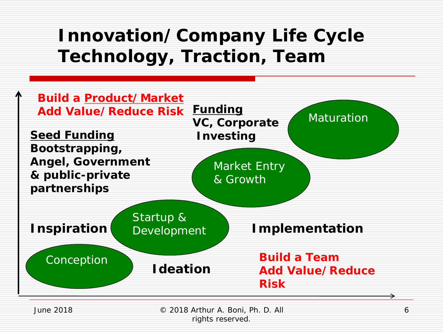#### *Innovation/Company Life Cycle Technology, Traction, Team*



© 2018 Arthur A. Boni, Ph. D. All

rights reserved.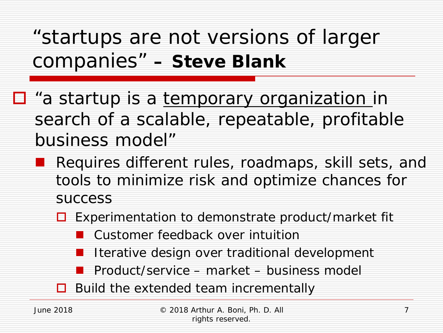"startups are not versions of larger companies" *– Steve Blank*

- $\Box$  "a startup is a temporary organization in search of a scalable, repeatable, profitable business model"
	- Requires different rules, roadmaps, skill sets, and tools to minimize risk and optimize chances for success
		- $\Box$  Experimentation to demonstrate product/market fit
			- Customer feedback over intuition
			- Iterative design over traditional development
			- Product/service market business model
		- $\Box$  Build the extended team incrementally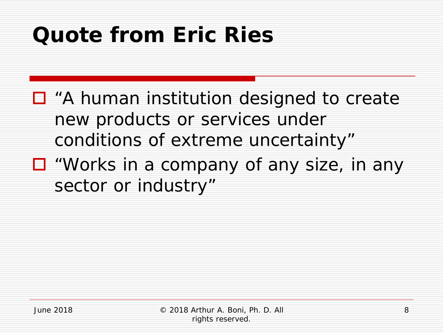### *Quote from Eric Ries*

- □ "A human institution designed to create new products or services under conditions of extreme uncertainty"
- $\Box$  "Works in a company of any size, in any sector or industry"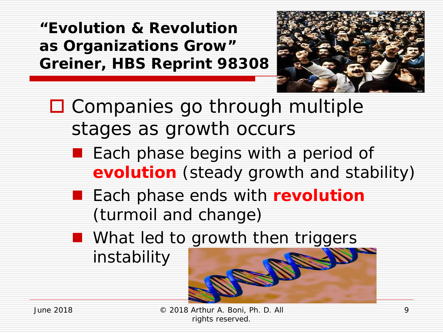*"Evolution & Revolution as Organizations Grow" Greiner, HBS Reprint 98308*



□ Companies go through multiple stages as growth occurs

- Each phase begins with a period of *evolution* (steady growth and stability)
- **Each phase ends with revolution** (turmoil and change)
- **Numer What led to growth then triggers**

instability



© 2018 Arthur A. Boni, Ph. D. All June 2018 9rights reserved.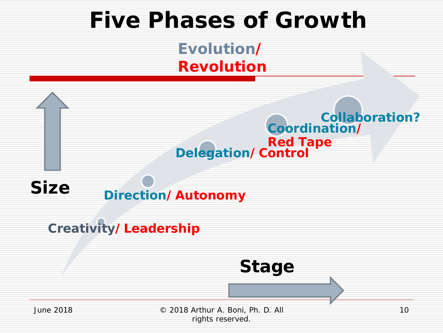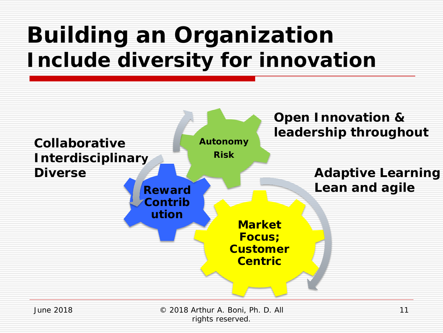### *Building an Organization Include diversity for innovation*



© 2018 Arthur A. Boni, Ph. D. All rights reserved.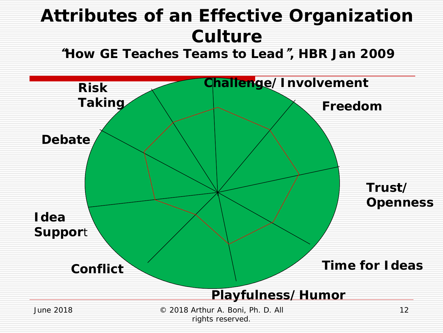#### *Attributes of an Effective Organization Culture*

"*How GE Teaches Teams to Lead*"*, HBR Jan 2009*

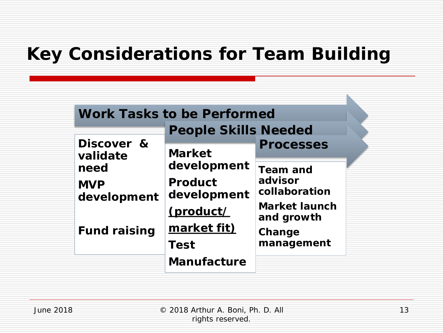#### *Key Considerations for Team Building*

| <b>Work Tasks to be Performed</b> |                               |                                    |
|-----------------------------------|-------------------------------|------------------------------------|
|                                   | <b>People Skills Needed</b>   |                                    |
| Discover &<br>validate            | <b>Market</b>                 | <b>Processes</b>                   |
| need                              | development                   | <b>Team and</b>                    |
| <b>MVP</b><br>development         | <b>Product</b><br>development | advisor<br>collaboration           |
|                                   | (product/                     | <b>Market launch</b><br>and growth |
| <b>Fund raising</b>               | market fit)                   | Change                             |
|                                   | <b>Test</b>                   | management                         |
|                                   | <b>Manufacture</b>            |                                    |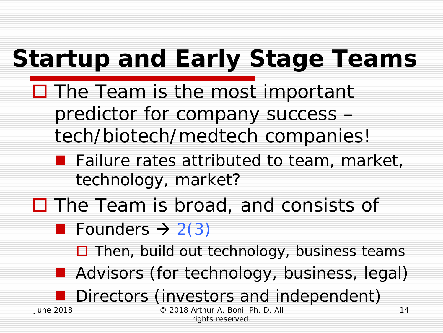# *Startup and Early Stage Teams*

- $\Box$  The Team is the most important predictor for company success – tech/biotech/medtech companies!
	- **Failure rates attributed to team, market,** technology, market?
- $\Box$  The Team is broad, and consists of
	- **Founders**  $\rightarrow$  **2(3)** 
		- $\Box$  Then, build out technology, business teams
	- **Advisors (for technology, business, legal)**

Directors (investors and independent)

© 2018 Arthur A. Boni, Ph. D. All rights reserved.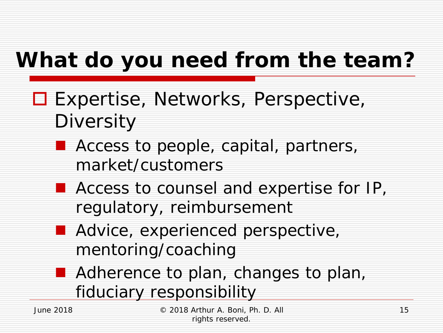### *What do you need from the team?*

- **□ Expertise, Networks, Perspective, Diversity** 
	- **Access to people, capital, partners,** market/customers
	- **Access to counsel and expertise for IP,** regulatory, reimbursement
	- **Advice, experienced perspective,** mentoring/coaching
	- **Adherence to plan, changes to plan,** fiduciary responsibility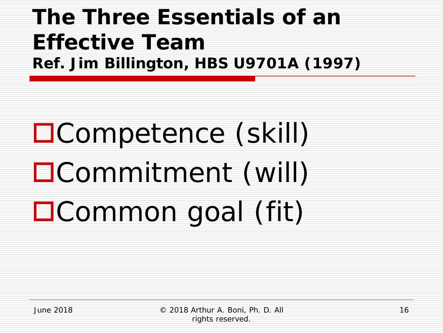#### *The Three Essentials of an Effective Team Ref. Jim Billington, HBS U9701A (1997)*

# Competence (skill) Commitment (will) Common goal (fit)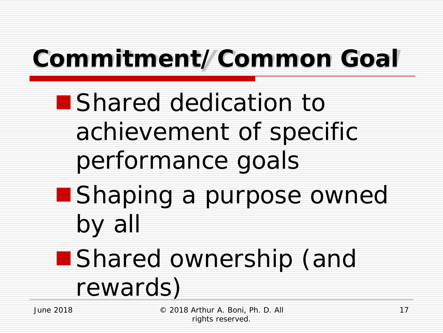# *Commitment/Common Goal*

- **Shared dedication to** achievement of specific performance goals
- **Shaping a purpose owned** by all

### ■ Shared ownership (and

rewards)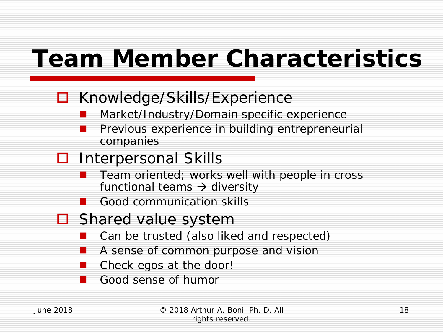### *Team Member Characteristics*

- □ Knowledge/Skills/Experience
	- Market/Industry/Domain specific experience
	- Previous experience in building entrepreneurial companies

#### **□** Interpersonal Skills

- Team oriented; works well with people in cross functional teams  $\rightarrow$  diversity
- Good communication skills
- $\Box$  Shared value system
	- Can be trusted (also liked and respected)
	- A sense of common purpose and vision
	- Check egos at the door!
	- Good sense of humor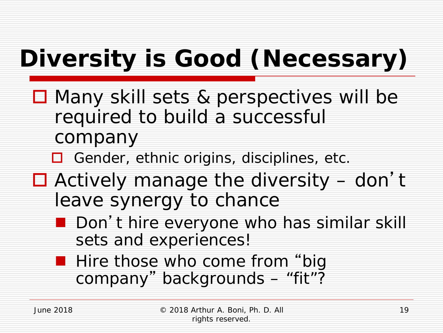# *Diversity is Good (Necessary)*

- **□** Many skill sets & perspectives will be required to build a successful company
	- □ Gender, ethnic origins, disciplines, etc.
- $\Box$  Actively manage the diversity don't leave synergy to chance
	- Don't hire everyone who has similar skill sets and experiences!
	- **Hire those who come from "big** company " backgrounds – "fit"?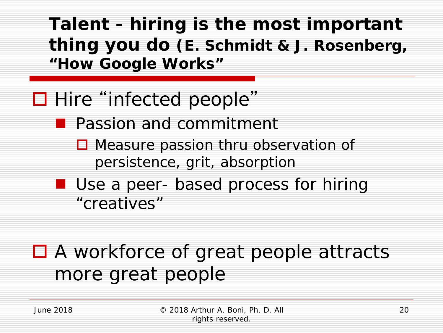*Talent - hiring is the most important thing you do (E. Schmidt & J. Rosenberg, "How Google Works"*

#### ■ Hire "infected people"

- **Passion and commitment** 
	- **□** Measure passion thru observation of persistence, grit, absorption
- **Use a peer- based process for hiring** "creatives"

#### ■ A workforce of great people attracts more great people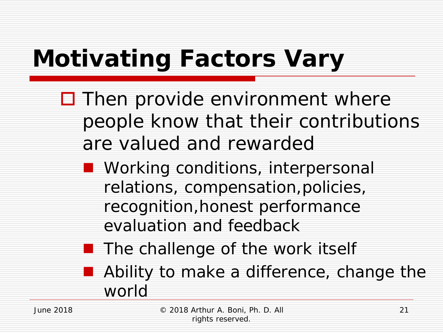# *Motivating Factors Vary*

- $\Box$  Then provide environment where people know that their contributions are valued and rewarded
	- **Norking conditions, interpersonal** relations, compensation,policies, recognition,honest performance evaluation and feedback
	- $\blacksquare$  The challenge of the work itself **Ability to make a difference, change the** world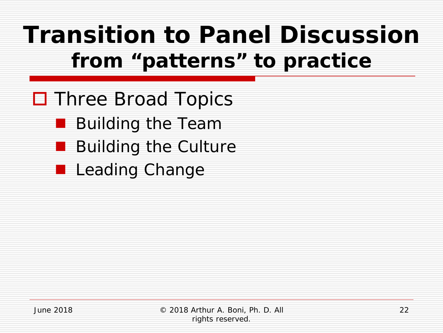### *Transition to Panel Discussion from "patterns" to practice*

- **□** Three Broad Topics
	- **Building the Team**
	- Building the Culture
	- **Leading Change**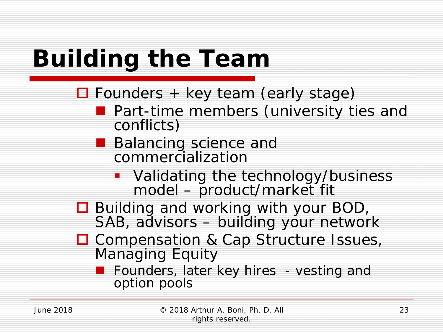# *Building the Team*

 $\Box$  Founders + key team (early stage)

- **Part-time members (university ties and conflicts)**
- **Balancing science and** commercialization
	- **Validating the technology/business** model – product/market fit
- □ Building and working with your BOD, SAB, advisors – building your network
- □ Compensation & Cap Structure Issues, Managing Equity
	- **Founders, later key hires vesting and** option pools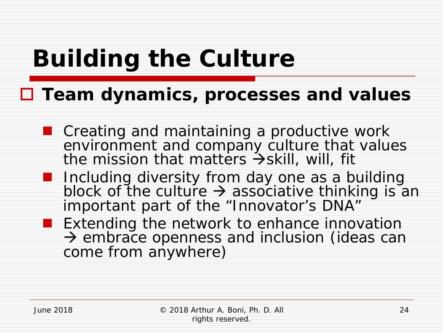### *Building the Culture*

#### **Team dynamics, processes and values**

- Creating and maintaining a productive work environment and company culture that values the mission that matters  $\rightarrow$ skill, will, fit
- **I** Including diversity from day one as a building block of the culture  $\rightarrow$  associative thinking is an important part of the "Innovator's DNA"
- **Extending the network to enhance innovation**  $\rightarrow$  embrace openness and inclusion (ideas can come from anywhere)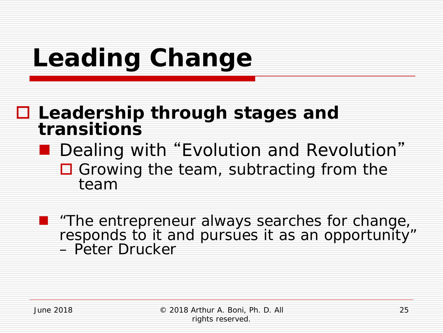# *Leading Change*

#### **Leadership through stages and transitions**

#### Dealing with "Evolution and Revolution"  $\Box$  Growing the team, subtracting from the

team

 *"The entrepreneur always searches for change, responds to it and pursues it as an opportunity" – Peter Drucker*